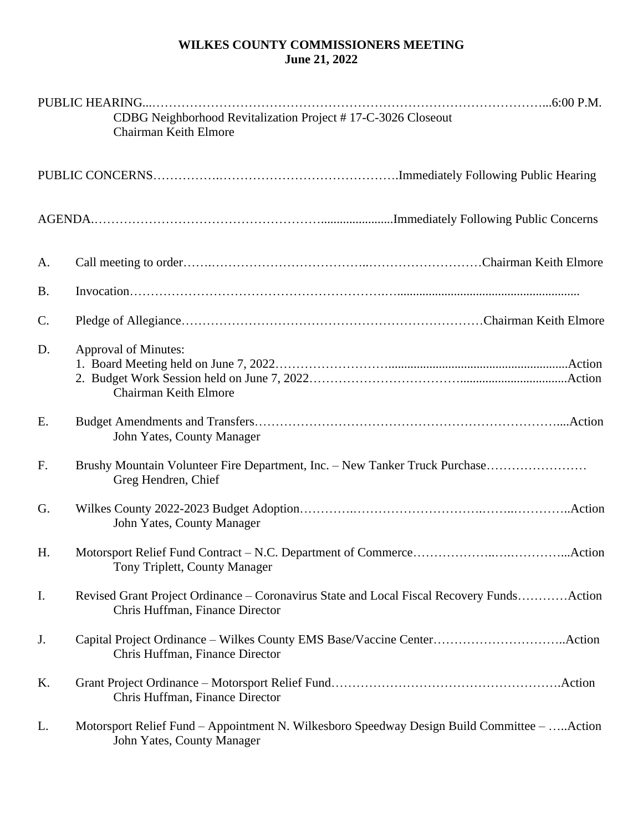## **WILKES COUNTY COMMISSIONERS MEETING June 21, 2022**

|                | CDBG Neighborhood Revitalization Project #17-C-3026 Closeout<br>Chairman Keith Elmore                                        |
|----------------|------------------------------------------------------------------------------------------------------------------------------|
|                |                                                                                                                              |
|                |                                                                                                                              |
| A.             |                                                                                                                              |
| <b>B.</b>      |                                                                                                                              |
| C.             |                                                                                                                              |
| D.             | Approval of Minutes:<br>Chairman Keith Elmore                                                                                |
| E.             | John Yates, County Manager                                                                                                   |
| F <sub>1</sub> | Brushy Mountain Volunteer Fire Department, Inc. - New Tanker Truck Purchase<br>Greg Hendren, Chief                           |
| G.             | John Yates, County Manager                                                                                                   |
| H.             | Tony Triplett, County Manager                                                                                                |
| Ι.             | Revised Grant Project Ordinance – Coronavirus State and Local Fiscal Recovery FundsAction<br>Chris Huffman, Finance Director |
| J.             | Chris Huffman, Finance Director                                                                                              |
| Κ.             | Chris Huffman, Finance Director                                                                                              |
| L.             | Motorsport Relief Fund – Appointment N. Wilkesboro Speedway Design Build Committee – Action<br>John Yates, County Manager    |